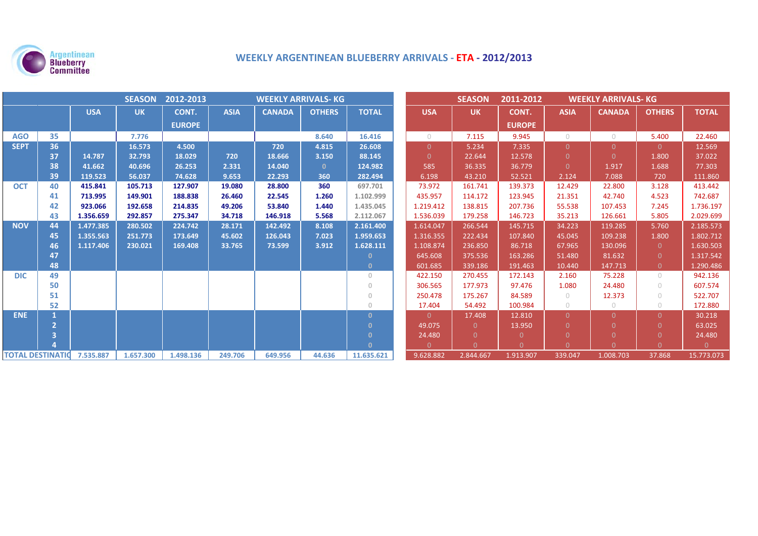

# **WEEKLY ARGENTINEAN BLUEBERRY ARRIVALS ‐ ETA ‐ 2012/2013**

| <b>SEASON</b><br>2012-2013<br><b>WEEKLY ARRIVALS- KG</b> |    |            |           |               |             |               |               | <b>SEASON</b> | 2011-2012  | <b>WEEKLY ARRIVALS- KG</b> |               |             |               |                |              |
|----------------------------------------------------------|----|------------|-----------|---------------|-------------|---------------|---------------|---------------|------------|----------------------------|---------------|-------------|---------------|----------------|--------------|
|                                                          |    | <b>USA</b> | <b>UK</b> | CONT.         | <b>ASIA</b> | <b>CANADA</b> | <b>OTHERS</b> | <b>TOTAL</b>  | <b>USA</b> | <b>UK</b>                  | CONT.         | <b>ASIA</b> | <b>CANADA</b> | <b>OTHERS</b>  | <b>TOTAL</b> |
|                                                          |    |            |           | <b>EUROPE</b> |             |               |               |               |            |                            | <b>EUROPE</b> |             |               |                |              |
| <b>AGO</b>                                               | 35 |            | 7.776     |               |             |               | 8.640         | 16.416        | $\bigcirc$ | 7.115                      | 9.945         | $\bigcirc$  | $\circ$       | 5.400          | 22.460       |
| <b>SEPT</b>                                              | 36 |            | 16.573    | 4.500         |             | 720           | 4.815         | 26.608        | $\Omega$   | 5.234                      | 7.335         | $\Omega$    | $\Omega$      | $\Omega$       | 12.569       |
|                                                          | 37 | 14.787     | 32.793    | 18.029        | 720         | 18.666        | 3.150         | 88.145        | $\Omega$   | 22.644                     | 12.578        | $\Omega$    | $\Omega$      | 1.800          | 37.022       |
|                                                          | 38 | 41.662     | 40.696    | 26.253        | 2.331       | 14.040        | $\mathbf{0}$  | 124.982       | 585        | 36.335                     | 36.779        | $\Omega$    | 1.917         | 1.688          | 77.303       |
|                                                          | 39 | 119.523    | 56.037    | 74.628        | 9.653       | 22.293        | 360           | 282.494       | 6.198      | 43.210                     | 52.521        | 2.124       | 7.088         | 720            | 111.860      |
| <b>OCT</b>                                               | 40 | 415.841    | 105.713   | 127.907       | 19.080      | 28.800        | 360           | 697.701       | 73.972     | 161.741                    | 139.373       | 12.429      | 22.800        | 3.128          | 413.442      |
|                                                          | 41 | 713.995    | 149.901   | 188.838       | 26.460      | 22.545        | 1.260         | 1.102.999     | 435.957    | 114.172                    | 123.945       | 21.351      | 42.740        | 4.523          | 742.687      |
|                                                          | 42 | 923.066    | 192.658   | 214.835       | 49.206      | 53.840        | 1.440         | 1.435.045     | 1.219.412  | 138.815                    | 207.736       | 55.538      | 107.453       | 7.245          | 1.736.197    |
|                                                          | 43 | 1.356.659  | 292.857   | 275.347       | 34.718      | 146.918       | 5.568         | 2.112.067     | 1.536.039  | 179.258                    | 146.723       | 35.213      | 126.661       | 5.805          | 2.029.699    |
| <b>NOV</b>                                               | 44 | 1.477.385  | 280.502   | 224.742       | 28.171      | 142.492       | 8.108         | 2.161.400     | 1.614.047  | 266.544                    | 145.715       | 34.223      | 119.285       | 5.760          | 2.185.573    |
|                                                          | 45 | 1.355.563  | 251.773   | 173.649       | 45.602      | 126.043       | 7.023         | 1.959.653     | 1.316.355  | 222.434                    | 107.840       | 45.045      | 109.238       | 1.800          | 1.802.712    |
|                                                          | 46 | 1.117.406  | 230.021   | 169.408       | 33.765      | 73.599        | 3.912         | 1.628.111     | 1.108.874  | 236.850                    | 86.718        | 67.965      | 130.096       | $\overline{0}$ | 1.630.503    |
|                                                          | 47 |            |           |               |             |               |               | $\mathbf{0}$  | 645.608    | 375.536                    | 163.286       | 51.480      | 81.632        | $\Omega$       | 1.317.542    |
|                                                          | 48 |            |           |               |             |               |               | $\mathbf{0}$  | 601.685    | 339.186                    | 191.463       | 10.440      | 147.713       | $\overline{0}$ | 1.290.486    |
| <b>DIC</b>                                               | 49 |            |           |               |             |               |               | $\circ$       | 422.150    | 270.455                    | 172.143       | 2.160       | 75.228        | $\bigcirc$     | 942.136      |
|                                                          | 50 |            |           |               |             |               |               | $\Omega$      | 306.565    | 177.973                    | 97.476        | 1.080       | 24.480        | $\bigcirc$     | 607.574      |
|                                                          | 51 |            |           |               |             |               |               | $\circ$       | 250.478    | 175.267                    | 84.589        | $\bigcirc$  | 12.373        | $\bigcirc$     | 522.707      |
|                                                          | 52 |            |           |               |             |               |               | $\Omega$      | 17.404     | 54.492                     | 100.984       | $\bigcirc$  | $\circ$       | $\bigcirc$     | 172.880      |
| <b>ENE</b>                                               |    |            |           |               |             |               |               | $\Omega$      | $\Omega$   | 17.408                     | 12.810        | $\Omega$    | $\Omega$      | $\Omega$       | 30.218       |
|                                                          |    |            |           |               |             |               |               | $\Omega$      | 49.075     | $\Omega$                   | 13.950        | $\Omega$    | O             | $\Omega$       | 63.025       |
|                                                          |    |            |           |               |             |               |               | $\Omega$      | 24.480     | $\Omega$                   |               | $\Omega$    |               |                | 24.480       |
|                                                          |    |            |           |               |             |               |               | $\Omega$      | $\Omega$   | $\Omega$                   | n.            | $\Omega$    | $\Omega$      | $\Omega$       | $\Omega$     |
| <b>TOTAL DESTINATIC 7.535.887</b>                        |    |            | 1.657.300 | 1.498.136     | 249.706     | 649.956       | 44.636        | 11.635.621    | 9.628.882  | 2.844.667                  | 1.913.907     | 339.047     | 1.008.703     | 37.868         | 15.773.073   |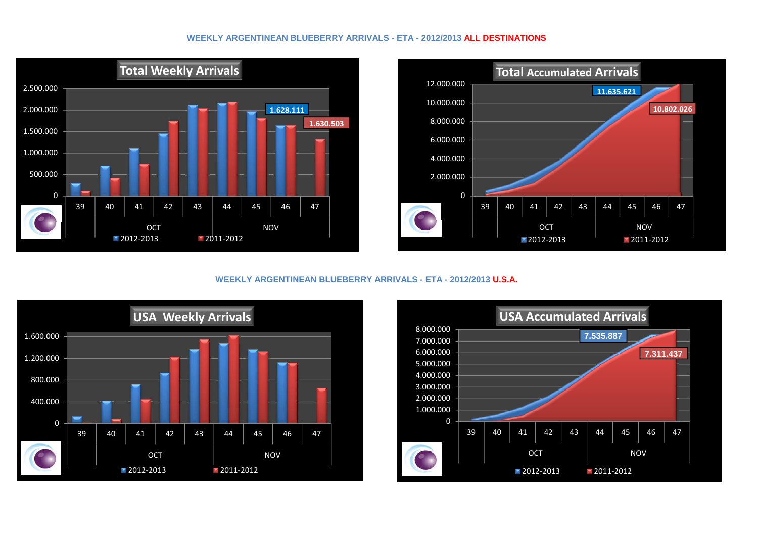#### **WEEKLY ARGENTINEAN BLUEBERRY ARRIVALS - ETA - 2012/2013 ALL DESTINATIONS**





**WEEKLY ARGENTINEAN BLUEBERRY ARRIVALS - ETA - 2012/2013 U.S.A.**



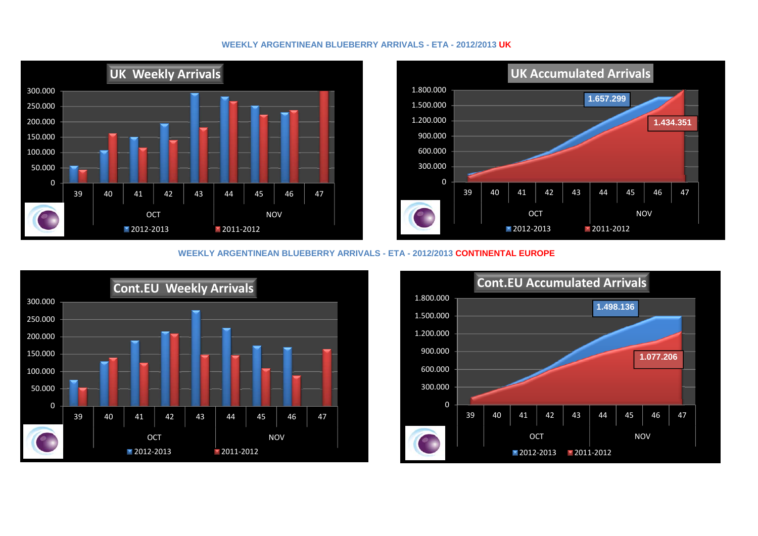## **WEEKLY ARGENTINEAN BLUEBERRY ARRIVALS - ETA - 2012/2013 UK**





#### **WEEKLY ARGENTINEAN BLUEBERRY ARRIVALS - ETA - 2012/2013 CONTINENTAL EUROPE**